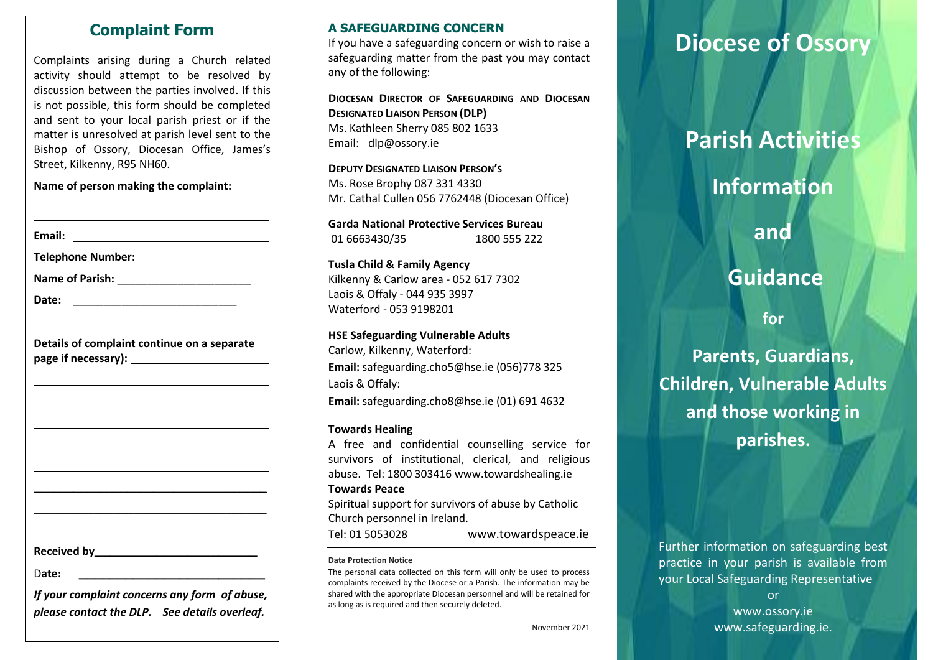## **Complaint Form**

Complaints arising during a Church related activity should attempt to be resolved by discussion between the parties involved. If this is not possible, this form should be completed and sent to your local parish priest or if the matter is unresolved at parish level sent to the Bishop of Ossory, Diocesan Office, James's Street, Kilkenny, R95 NH60.

### **Name of person making the complaint:**

| Email: | <u> 1980 - Andrea Andrew Maria (h. 1980).</u>     |
|--------|---------------------------------------------------|
|        | Telephone Number: ____________________________    |
|        |                                                   |
| Date:  |                                                   |
|        | Details of complaint continue on a separate       |
|        |                                                   |
|        |                                                   |
|        |                                                   |
|        |                                                   |
|        |                                                   |
|        |                                                   |
|        |                                                   |
|        |                                                   |
|        | Received by <b>Example 20</b> and the Received by |
| Date:  |                                                   |

| If your complaint concerns any form of abuse, |  |
|-----------------------------------------------|--|
| please contact the DLP. See details overleaf. |  |

### **A SAFEGUARDING CONCERN**

If you have a safeguarding concern or wish to raise a safeguarding matter from the past you may contact any of the following:

**DIOCESAN DIRECTOR OF SAFEGUARDING AND DIOCESAN DESIGNATED LIAISON PERSON (DLP)** Ms. Kathleen Sherry 085 802 1633 Email: [dlp@ossory.ie](mailto:dlp@ossory.ie)

**DEPUTY DESIGNATED LIAISON PERSON'S** Ms. Rose Brophy 087 331 4330 Mr. Cathal Cullen 056 7762448 (Diocesan Office)

**Garda National Protective Services Bureau** 01 6663430/35 1800 555 222

**Tusla Child & Family Agency**  Kilkenny & Carlow area - 052 617 7302 Laois & Offaly - 044 935 3997 Waterford - 053 9198201

## **HSE Safeguarding Vulnerable Adults**

Carlow, Kilkenny, Waterford: **Email:** [safeguarding.cho5@hse.ie](mailto:safeguarding.cho5@hse.ie) (056)778 325 Laois & Offaly: **Email:** [safeguarding.cho8@hse.ie](mailto:safeguarding.cho8@hse.ie) (01) 691 4632

#### **Towards Healing**

A free and confidential counselling service for survivors of institutional, clerical, and religious abuse. Tel: 1800 303416 [www.towardshealing.ie](http://www.towardshealing.ie/)

#### **Towards Peace**

Spiritual support for survivors of abuse by Catholic Church personnel in Ireland.

Tel: 01 5053028 [www.towardspeace.ie](http://www.towardspeace.ie/)

#### **Data Protection Notice**

The personal data collected on this form will only be used to process complaints received by the Diocese or a Parish. The information may be shared with the appropriate Diocesan personnel and will be retained for as long as is required and then securely deleted.

# **Diocese of Ossory**

# **Parish Activities**

# **Information**

**and**

# **Guidance**

**for** 

**Parents, Guardians, Children, Vulnerable Adults and those working in parishes.**

Further information on safeguarding best practice in your parish is available from your Local Safeguarding Representative

> or [www.ossory.ie](http://www.ossory.ie/) www.safeguarding.ie.